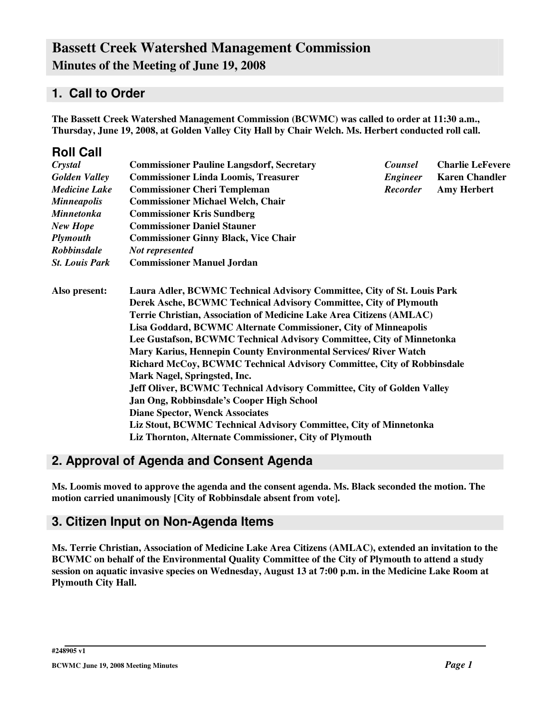# **1. Call to Order**

**The Bassett Creek Watershed Management Commission (BCWMC) was called to order at 11:30 a.m., Thursday, June 19, 2008, at Golden Valley City Hall by Chair Welch. Ms. Herbert conducted roll call.**

| <b>Roll Call</b>      |                                                                                                                                                                                                                                                                                         |                 |                         |  |  |  |                                                                        |  |  |
|-----------------------|-----------------------------------------------------------------------------------------------------------------------------------------------------------------------------------------------------------------------------------------------------------------------------------------|-----------------|-------------------------|--|--|--|------------------------------------------------------------------------|--|--|
| Crystal               | <b>Commissioner Pauline Langsdorf, Secretary</b>                                                                                                                                                                                                                                        | Counsel         | <b>Charlie LeFevere</b> |  |  |  |                                                                        |  |  |
| <b>Golden Valley</b>  | <b>Commissioner Linda Loomis, Treasurer</b>                                                                                                                                                                                                                                             | <b>Engineer</b> | <b>Karen Chandler</b>   |  |  |  |                                                                        |  |  |
| <b>Medicine Lake</b>  | <b>Commissioner Cheri Templeman</b>                                                                                                                                                                                                                                                     | <b>Recorder</b> | <b>Amy Herbert</b>      |  |  |  |                                                                        |  |  |
| <b>Minneapolis</b>    | <b>Commissioner Michael Welch, Chair</b>                                                                                                                                                                                                                                                |                 |                         |  |  |  |                                                                        |  |  |
| <b>Minnetonka</b>     | <b>Commissioner Kris Sundberg</b>                                                                                                                                                                                                                                                       |                 |                         |  |  |  |                                                                        |  |  |
| New Hope              | <b>Commissioner Daniel Stauner</b>                                                                                                                                                                                                                                                      |                 |                         |  |  |  |                                                                        |  |  |
| <b>Plymouth</b>       | <b>Commissioner Ginny Black, Vice Chair</b>                                                                                                                                                                                                                                             |                 |                         |  |  |  |                                                                        |  |  |
| <b>Robbinsdale</b>    | Not represented                                                                                                                                                                                                                                                                         |                 |                         |  |  |  |                                                                        |  |  |
| <b>St. Louis Park</b> | <b>Commissioner Manuel Jordan</b>                                                                                                                                                                                                                                                       |                 |                         |  |  |  |                                                                        |  |  |
| Also present:         | Laura Adler, BCWMC Technical Advisory Committee, City of St. Louis Park<br>Derek Asche, BCWMC Technical Advisory Committee, City of Plymouth<br>Terrie Christian, Association of Medicine Lake Area Citizens (AMLAC)<br>Lisa Goddard, BCWMC Alternate Commissioner, City of Minneapolis |                 |                         |  |  |  |                                                                        |  |  |
|                       |                                                                                                                                                                                                                                                                                         |                 |                         |  |  |  | Lee Gustafson, BCWMC Technical Advisory Committee, City of Minnetonka  |  |  |
|                       |                                                                                                                                                                                                                                                                                         |                 |                         |  |  |  | Mary Karius, Hennepin County Environmental Services/ River Watch       |  |  |
|                       |                                                                                                                                                                                                                                                                                         |                 |                         |  |  |  | Richard McCoy, BCWMC Technical Advisory Committee, City of Robbinsdale |  |  |
|                       | Mark Nagel, Springsted, Inc.                                                                                                                                                                                                                                                            |                 |                         |  |  |  |                                                                        |  |  |
|                       | Jeff Oliver, BCWMC Technical Advisory Committee, City of Golden Valley                                                                                                                                                                                                                  |                 |                         |  |  |  |                                                                        |  |  |
|                       | Jan Ong, Robbinsdale's Cooper High School                                                                                                                                                                                                                                               |                 |                         |  |  |  |                                                                        |  |  |
|                       | <b>Diane Spector, Wenck Associates</b>                                                                                                                                                                                                                                                  |                 |                         |  |  |  |                                                                        |  |  |
|                       | Liz Stout, BCWMC Technical Advisory Committee, City of Minnetonka                                                                                                                                                                                                                       |                 |                         |  |  |  |                                                                        |  |  |
|                       | Liz Thornton, Alternate Commissioner, City of Plymouth                                                                                                                                                                                                                                  |                 |                         |  |  |  |                                                                        |  |  |
|                       |                                                                                                                                                                                                                                                                                         |                 |                         |  |  |  |                                                                        |  |  |

# **2. Approval of Agenda and Consent Agenda**

**Ms. Loomis moved to approve the agenda and the consent agenda. Ms. Black seconded the motion. The motion carried unanimously [City of Robbinsdale absent from vote].**

# **3. Citizen Input on Non-Agenda Items**

**Ms. Terrie Christian, Association of Medicine Lake Area Citizens (AMLAC), extended an invitation to the BCWMC on behalf of the Environmental Quality Committee of the City of Plymouth to attend a study** session on aquatic invasive species on Wednesday, August 13 at 7:00 p.m. in the Medicine Lake Room at **Plymouth City Hall.**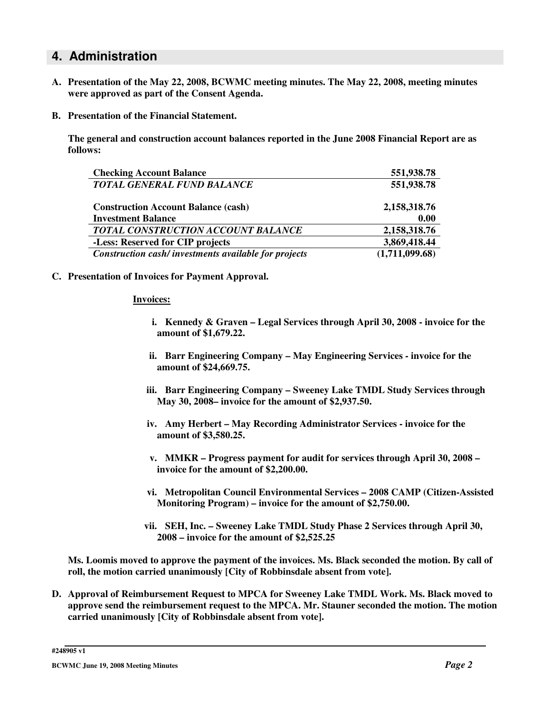#### **4. Administration**

- **A. Presentation of the May 22, 2008, BCWMC meeting minutes. The May 22, 2008, meeting minutes were approved as part of the Consent Agenda.**
- **B. Presentation of the Financial Statement.**

**The general and construction account balances reported in the June 2008 Financial Report are as follows:**

| <b>Checking Account Balance</b>                      | 551,938.78     |
|------------------------------------------------------|----------------|
| <b>TOTAL GENERAL FUND BALANCE</b>                    | 551,938.78     |
| <b>Construction Account Balance (cash)</b>           | 2,158,318.76   |
| <b>Investment Balance</b>                            | 0.00           |
| TOTAL CONSTRUCTION ACCOUNT BALANCE                   | 2,158,318.76   |
| -Less: Reserved for CIP projects                     | 3,869,418.44   |
| Construction cash/investments available for projects | (1,711,099.68) |

**C. Presentation of Invoices for Payment Approval.**

#### **Invoices:**

- **i. Kennedy & Graven – Legal Services through April 30, 2008 - invoice for the amount of \$1,679.22.**
- **ii. Barr Engineering Company – May Engineering Services - invoice for the amount of \$24,669.75.**
- **iii. Barr Engineering Company – Sweeney Lake TMDL Study Services through May 30, 2008– invoice for the amount of \$2,937.50.**
- **iv. Amy Herbert – May Recording Administrator Services - invoice for the amount of \$3,580.25.**
- **v. MMKR – Progress payment for audit for services through April 30, 2008 – invoice for the amount of \$2,200.00.**
- **vi. Metropolitan Council Environmental Services – 2008 CAMP (Citizen-Assisted Monitoring Program) – invoice for the amount of \$2,750.00.**
- **vii. SEH, Inc. – Sweeney Lake TMDL Study Phase 2 Services through April 30, 2008 – invoice for the amount of \$2,525.25**

**Ms. Loomis moved to approve the payment of the invoices. Ms. Black seconded the motion. By call of roll, the motion carried unanimously [City of Robbinsdale absent from vote].**

**D. Approval of Reimbursement Request to MPCA for Sweeney Lake TMDL Work. Ms. Black moved to approve send the reimbursement request to the MPCA. Mr. Stauner seconded the motion. The motion carried unanimously [City of Robbinsdale absent from vote].**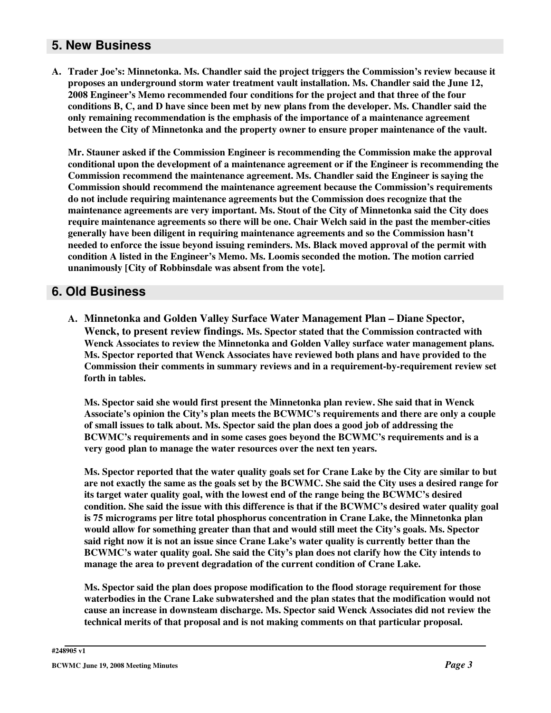## **5. New Business**

**A. Trader Joe's: Minnetonka. Ms. Chandler said the project triggers the Commission's review because it proposes an underground storm water treatment vault installation. Ms. Chandler said the June 12, 2008 Engineer's Memo recommended four conditions for the project and that three of the four** conditions B, C, and D have since been met by new plans from the developer. Ms. Chandler said the **only remaining recommendation is the emphasis of the importance of a maintenance agreement between the City of Minnetonka and the property owner to ensure proper maintenance of the vault.**

**Mr. Stauner asked if the Commission Engineer is recommending the Commission make the approval conditional upon the development of a maintenance agreement or if the Engineer is recommending the Commission recommend the maintenance agreement. Ms. Chandler said the Engineer is saying the Commission should recommend the maintenance agreement because the Commission's requirements do not include requiring maintenance agreements but the Commission does recognize that the maintenance agreements are very important. Ms. Stout of the City of Minnetonka said the City does require maintenance agreements so there will be one. Chair Welch said in the past the member-cities generally have been diligent in requiring maintenance agreements and so the Commission hasn't needed to enforce the issue beyond issuing reminders. Ms. Black moved approval of the permit with condition A listed in the Engineer's Memo. Ms. Loomis seconded the motion. The motion carried unanimously [City of Robbinsdale was absent from the vote].**

## **6. Old Business**

**A. Minnetonka and Golden Valley Surface Water Management Plan – Diane Spector, Wenck, to present review findings. Ms. Spector stated that the Commission contracted with Wenck Associates to review the Minnetonka and Golden Valley surface water management plans. Ms. Spector reported that Wenck Associates have reviewed both plans and have provided to the Commission their comments in summary reviews and in a requirement-by-requirement review set forth in tables.**

**Ms. Spector said she would first present the Minnetonka plan review. She said that in Wenck Associate's opinion the City's plan meets the BCWMC's requirements and there are only a couple of small issues to talk about. Ms. Spector said the plan does a good job of addressing the BCWMC's requirements and in some cases goes beyond the BCWMC's requirements and is a very good plan to manage the water resources over the next ten years.**

Ms. Spector reported that the water quality goals set for Crane Lake by the City are similar to but are not exactly the same as the goals set by the BCWMC. She said the City uses a desired range for **its target water quality goal, with the lowest end of the range being the BCWMC's desired condition. She said the issue with this difference is that if the BCWMC's desired water quality goal is 75 micrograms per litre total phosphorus concentration in Crane Lake, the Minnetonka plan would allow for something greater than that and would still meet the City's goals. Ms. Spector said right now it is not an issue since Crane Lake's water quality is currently better than the BCWMC's water quality goal. She said the City's plan does not clarify how the City intends to manage the area to prevent degradation of the current condition of Crane Lake.**

**Ms. Spector said the plan does propose modification to the flood storage requirement for those waterbodies in the Crane Lake subwatershed and the plan states that the modification would not cause an increase in downsteam discharge. Ms. Spector said Wenck Associates did not review the technical merits of that proposal and is not making comments on that particular proposal.**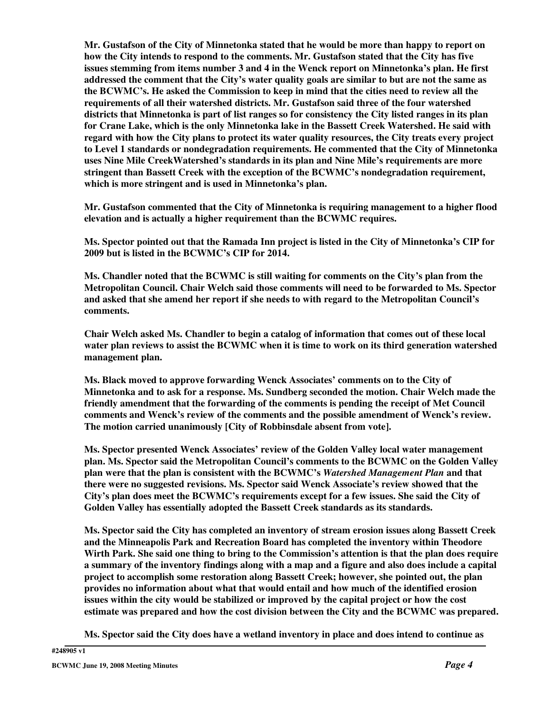**Mr. Gustafson of the City of Minnetonka stated that he would be more than happy to report on how the City intends to respond to the comments. Mr. Gustafson stated that the City has five issues stemming from items number 3 and 4 in the Wenck report on Minnetonka's plan. He first addressed the comment that the City's water quality goals are similar to but are not the same as the BCWMC's. He asked the Commission to keep in mind that the cities need to review all the requirements of all their watershed districts. Mr. Gustafson said three of the four watershed** districts that Minnetonka is part of list ranges so for consistency the City listed ranges in its plan **for Crane Lake, which is the only Minnetonka lake in the Bassett Creek Watershed. He said with regard with how the City plans to protect its water quality resources, the City treats every project to Level 1 standards or nondegradation requirements. He commented that the City of Minnetonka uses Nine Mile CreekWatershed's standards in its plan and Nine Mile's requirements are more stringent than Bassett Creek with the exception of the BCWMC's nondegradation requirement, which is more stringent and is used in Minnetonka's plan.**

**Mr. Gustafson commented that the City of Minnetonka is requiring management to a higher flood elevation and is actually a higher requirement than the BCWMC requires.**

**Ms. Spector pointed out that the Ramada Inn project is listed in the City of Minnetonka's CIP for 2009 but is listed in the BCWMC's CIP for 2014.**

**Ms. Chandler noted that the BCWMC is still waiting for comments on the City's plan from the Metropolitan Council. Chair Welch said those comments will need to be forwarded to Ms. Spector and asked that she amend her report if she needs to with regard to the Metropolitan Council's comments.**

**Chair Welch asked Ms. Chandler to begin a catalog of information that comes out of these local water plan reviews to assist the BCWMC when it is time to work on its third generation watershed management plan.**

**Ms. Black moved to approve forwarding Wenck Associates' comments on to the City of Minnetonka and to ask for a response. Ms. Sundberg seconded the motion. Chair Welch made the friendly amendment that the forwarding of the comments is pending the receipt of Met Council comments and Wenck's review of the comments and the possible amendment of Wenck's review. The motion carried unanimously [City of Robbinsdale absent from vote].**

**Ms. Spector presented Wenck Associates' review of the Golden Valley local water management plan. Ms. Spector said the Metropolitan Council's comments to the BCWMC on the Golden Valley plan were that the plan is consistent with the BCWMC's** *Watershed Management Plan* **and that there were no suggested revisions. Ms. Spector said Wenck Associate's review showed that the City's plan does meet the BCWMC's requirements except for a few issues. She said the City of Golden Valley has essentially adopted the Bassett Creek standards as its standards.**

**Ms. Spector said the City has completed an inventory of stream erosion issues along Bassett Creek and the Minneapolis Park and Recreation Board has completed the inventory within Theodore** Wirth Park. She said one thing to bring to the Commission's attention is that the plan does require a summary of the inventory findings along with a map and a figure and also does include a capital **project to accomplish some restoration along Bassett Creek; however, she pointed out, the plan provides no information about what that would entail and how much of the identified erosion issues within the city would be stabilized or improved by the capital project or how the cost estimate was prepared and how the cost division between the City and the BCWMC was prepared.**

**Ms. Spector said the City does have a wetland inventory in place and does intend to continue as**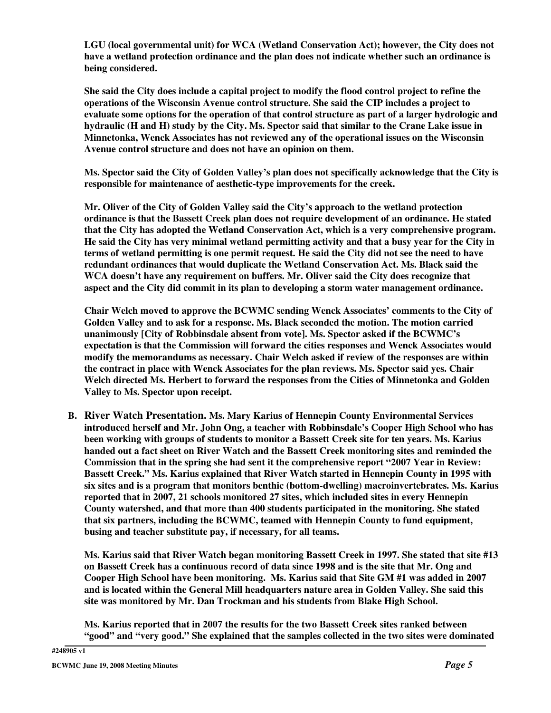**LGU (local governmental unit) for WCA (Wetland Conservation Act); however, the City does not have a wetland protection ordinance and the plan does not indicate whether such an ordinance is being considered.**

**She said the City does include a capital project to modify the flood control project to refine the operations of the Wisconsin Avenue control structure. She said the CIP includes a project to evaluate some options for the operation of that control structure as part of a larger hydrologic and** hydraulic (H and H) study by the City. Ms. Spector said that similar to the Crane Lake issue in **Minnetonka, Wenck Associates has not reviewed any of the operational issues on the Wisconsin Avenue control structure and does not have an opinion on them.**

**Ms. Spector said the City of Golden Valley's plan does not specifically acknowledge that the City is responsible for maintenance of aesthetic-type improvements for the creek.**

**Mr. Oliver of the City of Golden Valley said the City's approach to the wetland protection ordinance is that the Bassett Creek plan does not require development of an ordinance. He stated that the City has adopted the Wetland Conservation Act, which is a very comprehensive program.** He said the City has very minimal wetland permitting activity and that a busy year for the City in terms of wetland permitting is one permit request. He said the City did not see the need to have **redundant ordinances that would duplicate the Wetland Conservation Act. Ms. Black said the WCA doesn't have any requirement on buffers. Mr. Oliver said the City does recognize that aspect and the City did commit in its plan to developing a storm water management ordinance.**

**Chair Welch moved to approve the BCWMC sending Wenck Associates' comments to the City of Golden Valley and to ask for a response. Ms. Black seconded the motion. The motion carried unanimously [City of Robbinsdale absent from vote]. Ms. Spector asked if the BCWMC's expectation is that the Commission will forward the cities responses and Wenck Associates would modify the memorandums as necessary. Chair Welch asked if review of the responses are within the contract in place with Wenck Associates for the plan reviews. Ms. Spector said yes. Chair Welch directed Ms. Herbert to forward the responses from the Cities of Minnetonka and Golden Valley to Ms. Spector upon receipt.**

**B. River Watch Presentation. Ms. Mary Karius of Hennepin County Environmental Services introduced herself and Mr. John Ong, a teacher with Robbinsdale's Cooper High School who has been working with groups of students to monitor a Bassett Creek site for ten years. Ms. Karius handed out a fact sheet on River Watch and the Bassett Creek monitoring sites and reminded the Commission that in the spring she had sent it the comprehensive report "2007 Year in Review: Bassett Creek." Ms. Karius explained that River Watch started in Hennepin County in 1995 with six sites and is a program that monitors benthic (bottom-dwelling) macroinvertebrates. Ms. Karius reported that in 2007, 21 schools monitored 27 sites, which included sites in every Hennepin County watershed, and that more than 400 students participated in the monitoring. She stated that six partners, including the BCWMC, teamed with Hennepin County to fund equipment, busing and teacher substitute pay, if necessary, for all teams.**

**Ms. Karius said that River Watch began monitoring Bassett Creek in 1997. She stated that site #13** on Bassett Creek has a continuous record of data since 1998 and is the site that Mr. Ong and **Cooper High School have been monitoring. Ms. Karius said that Site GM #1 was added in 2007 and is located within the General Mill headquarters nature area in Golden Valley. She said this site was monitored by Mr. Dan Trockman and his students from Blake High School.**

**Ms. Karius reported that in 2007 the results for the two Bassett Creek sites ranked between "good" and "very good." She explained that the samples collected in the two sites were dominated**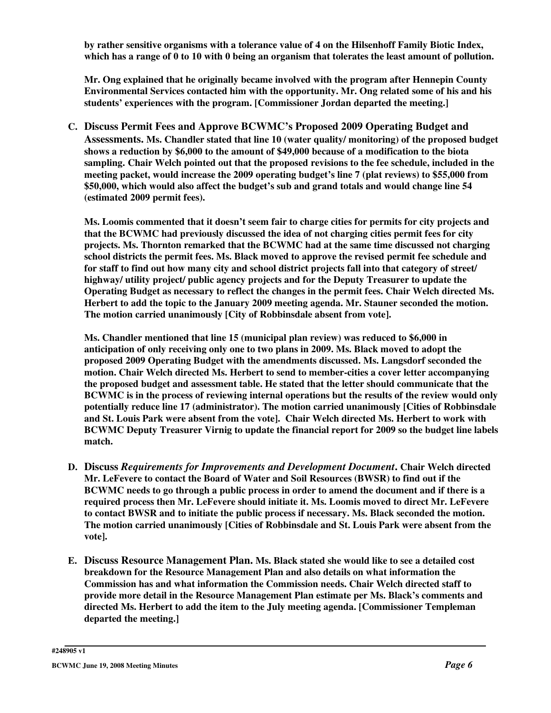**by rather sensitive organisms with a tolerance value of 4 on the Hilsenhoff Family Biotic Index,** which has a range of 0 to 10 with 0 being an organism that tolerates the least amount of pollution.

**Mr. Ong explained that he originally became involved with the program after Hennepin County Environmental Services contacted him with the opportunity. Mr. Ong related some of his and his students' experiences with the program. [Commissioner Jordan departed the meeting.]**

**C. Discuss Permit Fees and Approve BCWMC's Proposed 2009 Operating Budget and Assessments. Ms. Chandler stated that line 10 (water quality/ monitoring) of the proposed budget shows a reduction by \$6,000 to the amount of \$49,000 because of a modification to the biota sampling. Chair Welch pointed out that the proposed revisions to the fee schedule, included in the meeting packet, would increase the 2009 operating budget's line 7 (plat reviews) to \$55,000 from \$50,000, which would also affect the budget's sub and grand totals and would change line 54 (estimated 2009 permit fees).**

**Ms. Loomis commented that it doesn't seem fair to charge cities for permits for city projects and that the BCWMC had previously discussed the idea of not charging cities permit fees for city projects. Ms. Thornton remarked that the BCWMC had at the same time discussed not charging school districts the permit fees. Ms. Black moved to approve the revised permit fee schedule and** for staff to find out how many city and school district projects fall into that category of street/ **highway/ utility project/ public agency projects and for the Deputy Treasurer to update the Operating Budget as necessary to reflect the changes in the permit fees. Chair Welch directed Ms. Herbert to add the topic to the January 2009 meeting agenda. Mr. Stauner seconded the motion. The motion carried unanimously [City of Robbinsdale absent from vote].**

**Ms. Chandler mentioned that line 15 (municipal plan review) was reduced to \$6,000 in anticipation of only receiving only one to two plans in 2009. Ms. Black moved to adopt the proposed 2009 Operating Budget with the amendments discussed. Ms. Langsdorf seconded the motion. Chair Welch directed Ms. Herbert to send to member-cities a cover letter accompanying the proposed budget and assessment table. He stated that the letter should communicate that the BCWMC is in the process of reviewing internal operations but the results of the review would only potentially reduce line 17 (administrator). The motion carried unanimously [Cities of Robbinsdale and St. Louis Park were absent from the vote]. Chair Welch directed Ms. Herbert to work with BCWMC Deputy Treasurer Virnig to update the financial report for 2009 so the budget line labels match.**

- **D. Discuss** *Requirements for Improvements and Development Document***. Chair Welch directed Mr. LeFevere to contact the Board of Water and Soil Resources (BWSR) to find out if the BCWMC needs to go through a public process in order to amend the document and if there is a required process then Mr. LeFevere should initiate it. Ms. Loomis moved to direct Mr. LeFevere to contact BWSR and to initiate the public process if necessary. Ms. Black seconded the motion. The motion carried unanimously [Cities of Robbinsdale and St. Louis Park were absent from the vote].**
- **E. Discuss Resource Management Plan. Ms. Black stated she would like to see a detailed cost breakdown for the Resource Management Plan and also details on what information the Commission has and what information the Commission needs. Chair Welch directed staff to provide more detail in the Resource Management Plan estimate per Ms. Black's comments and directed Ms. Herbert to add the item to the July meeting agenda. [Commissioner Templeman departed the meeting.]**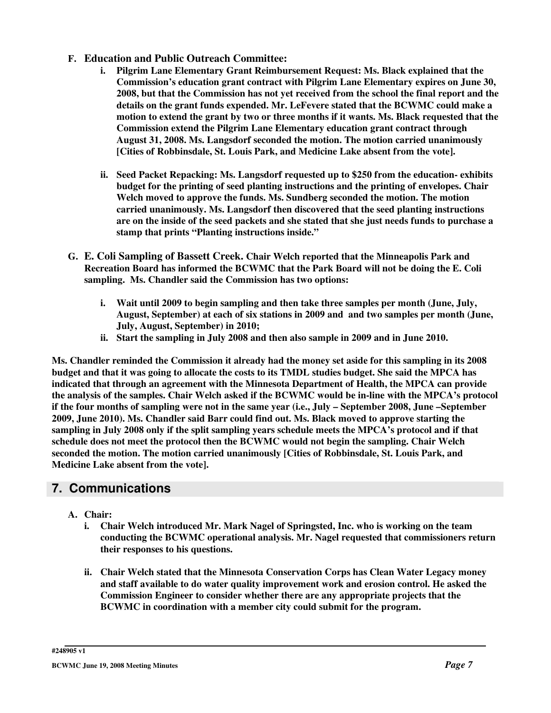#### **F. Education and Public Outreach Committee:**

- **i. Pilgrim Lane Elementary Grant Reimbursement Request: Ms. Black explained that the Commission's education grant contract with Pilgrim Lane Elementary expires on June 30, 2008, but that the Commission has not yet received from the school the final report and the details on the grant funds expended. Mr. LeFevere stated that the BCWMC could make a motion to extend the grant by two or three months if it wants. Ms. Black requested that the Commission extend the Pilgrim Lane Elementary education grant contract through August 31, 2008. Ms. Langsdorf seconded the motion. The motion carried unanimously [Cities of Robbinsdale, St. Louis Park, and Medicine Lake absent from the vote].**
- **ii. Seed Packet Repacking: Ms. Langsdorf requested up to \$250 from the education- exhibits budget for the printing of seed planting instructions and the printing of envelopes. Chair Welch moved to approve the funds. Ms. Sundberg seconded the motion. The motion carried unanimously. Ms. Langsdorf then discovered that the seed planting instructions** are on the inside of the seed packets and she stated that she just needs funds to purchase a **stamp that prints "Planting instructions inside."**
- **G. E. Coli Sampling of Bassett Creek. Chair Welch reported that the Minneapolis Park and Recreation Board has informed the BCWMC that the Park Board will not be doing the E. Coli sampling. Ms. Chandler said the Commission has two options:**
	- **i. Wait until 2009 to begin sampling and then take three samples per month (June, July, August, September) at each of six stations in 2009 and and two samples per month (June, July, August, September) in 2010;**
	- **ii. Start the sampling in July 2008 and then also sample in 2009 and in June 2010.**

Ms. Chandler reminded the Commission it already had the money set aside for this sampling in its 2008 budget and that it was going to allocate the costs to its TMDL studies budget. She said the MPCA has **indicated that through an agreement with the Minnesota Department of Health, the MPCA can provide** the analysis of the samples. Chair Welch asked if the BCWMC would be in-line with the MPCA's protocol if the four months of sampling were not in the same year (i.e., July – September 2008, June – September **2009, June 2010). Ms. Chandler said Barr could find out. Ms. Black moved to approve starting the** sampling in July 2008 only if the split sampling years schedule meets the MPCA's protocol and if that **schedule does not meet the protocol then the BCWMC would not begin the sampling. Chair Welch seconded the motion. The motion carried unanimously [Cities of Robbinsdale, St. Louis Park, and Medicine Lake absent from the vote].**

# **7. Communications**

- **A. Chair:**
	- **i. Chair Welch introduced Mr. Mark Nagel of Springsted, Inc. who is working on the team conducting the BCWMC operational analysis. Mr. Nagel requested that commissioners return their responses to his questions.**
	- **ii. Chair Welch stated that the Minnesota Conservation Corps has Clean Water Legacy money and staff available to do water quality improvement work and erosion control. He asked the Commission Engineer to consider whether there are any appropriate projects that the BCWMC in coordination with a member city could submit for the program.**